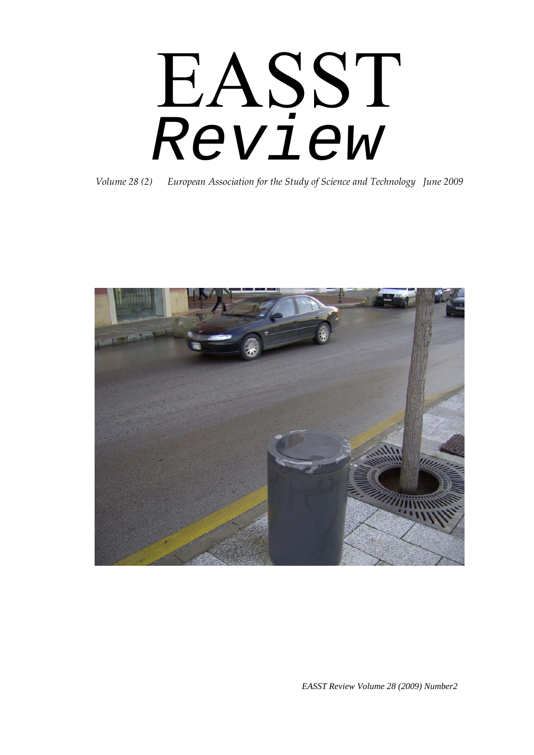# EASST *Review*

*Volume 28 (2) European Association for the Study of Science and Technology June 2009*



*EASST Review Volume 28 (2009) Number2*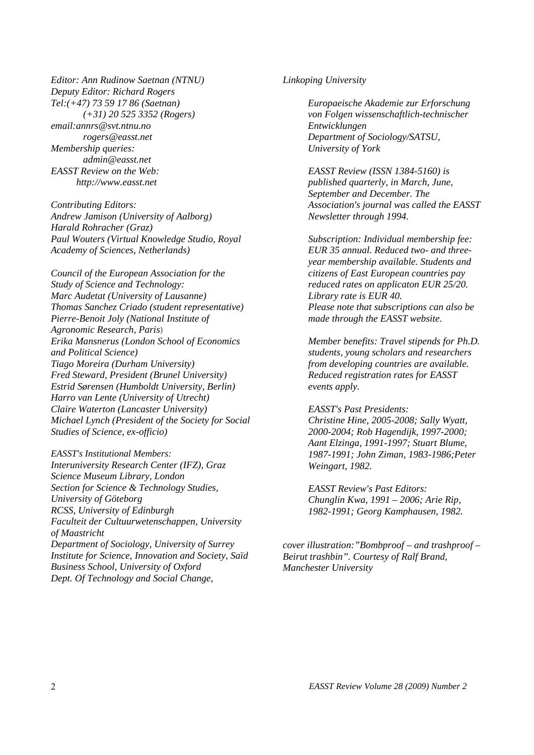*Editor: Ann Rudinow Saetnan (NTNU) Deputy Editor: Richard Rogers Tel:(+47) 73 59 17 86 (Saetnan) (+31) 20 525 3352 (Rogers) email:annrs@svt.ntnu.no rogers@easst.net Membership queries: admin@easst.net EASST Review on the Web: http://www.easst.net* 

*Contributing Editors: Andrew Jamison (University of Aalborg) Harald Rohracher (Graz) Paul Wouters (Virtual Knowledge Studio, Royal Academy of Sciences, Netherlands)* 

*Council of the European Association for the Study of Science and Technology: Marc Audetat (University of Lausanne) Thomas Sanchez Criado (student representative) Pierre-Benoit Joly (National Institute of Agronomic Research, Paris*) *Erika Mansnerus (London School of Economics and Political Science) Tiago Moreira (Durham University) Fred Steward, President (Brunel University) Estrid Sørensen (Humboldt University, Berlin) Harro van Lente (University of Utrecht) Claire Waterton (Lancaster University) Michael Lynch (President of the Society for Social Studies of Science, ex-officio)* 

*EASST's Institutional Members: Interuniversity Research Center (IFZ), Graz Science Museum Library, London Section for Science & Technology Studies, University of Göteborg RCSS, University of Edinburgh Faculteit der Cultuurwetenschappen, University of Maastricht Department of Sociology, University of Surrey Institute for Science, Innovation and Society, Saïd Business School, University of Oxford Dept. Of Technology and Social Change,* 

#### *Linkoping University*

*Europaeische Akademie zur Erforschung von Folgen wissenschaftlich-technischer Entwicklungen Department of Sociology/SATSU, University of York* 

*EASST Review (ISSN 1384-5160) is published quarterly, in March, June, September and December. The Association's journal was called the EASST Newsletter through 1994.* 

*Subscription: Individual membership fee: EUR 35 annual. Reduced two- and threeyear membership available. Students and citizens of East European countries pay reduced rates on applicaton EUR 25/20. Library rate is EUR 40. Please note that subscriptions can also be made through the EASST website.* 

*Member benefits: Travel stipends for Ph.D. students, young scholars and researchers from developing countries are available. Reduced registration rates for EASST events apply.* 

*EASST's Past Presidents: Christine Hine, 2005-2008; Sally Wyatt, 2000-2004; Rob Hagendijk, 1997-2000; Aant Elzinga, 1991-1997; Stuart Blume, 1987-1991; John Ziman, 1983-1986;Peter Weingart, 1982.* 

*EASST Review's Past Editors: Chunglin Kwa, 1991 – 2006; Arie Rip, 1982-1991; Georg Kamphausen, 1982.* 

*cover illustration:"Bombproof – and trashproof – Beirut trashbin". Courtesy of Ralf Brand, Manchester University*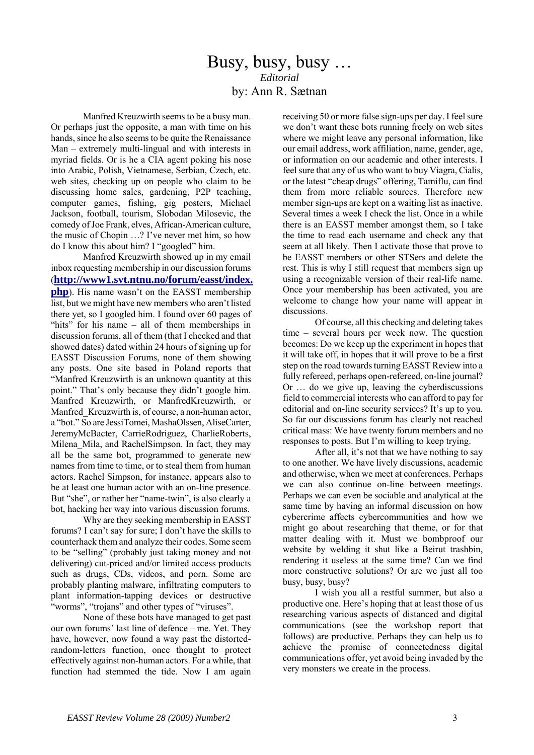## Busy, busy, busy … *Editorial*  by: Ann R. Sætnan

 Manfred Kreuzwirth seems to be a busy man. Or perhaps just the opposite, a man with time on his hands, since he also seems to be quite the Renaissance Man – extremely multi-lingual and with interests in myriad fields. Or is he a CIA agent poking his nose into Arabic, Polish, Vietnamese, Serbian, Czech, etc. web sites, checking up on people who claim to be discussing home sales, gardening, P2P teaching, computer games, fishing, gig posters, Michael Jackson, football, tourism, Slobodan Milosevic, the comedy of Joe Frank, elves, African-American culture, the music of Chopin …? I've never met him, so how do I know this about him? I "googled" him.

 Manfred Kreuzwirth showed up in my email inbox requesting membership in our discussion forums (**[http://www1.svt.ntnu.no/forum/easst/index.](http://www1.svt.ntnu.no/forum/easst/index.php) [php](http://www1.svt.ntnu.no/forum/easst/index.php)**). His name wasn't on the EASST membership list, but we might have new members who aren't listed there yet, so I googled him. I found over 60 pages of "hits" for his name – all of them memberships in discussion forums, all of them (that I checked and that showed dates) dated within 24 hours of signing up for EASST Discussion Forums, none of them showing any posts. One site based in Poland reports that "Manfred Kreuzwirth is an unknown quantity at this point." That's only because they didn't google him. Manfred Kreuzwirth, or ManfredKreuzwirth, or Manfred Kreuzwirth is, of course, a non-human actor, a "bot." So are JessiTomei, MashaOlssen, AliseCarter, JeremyMcBacter, CarrieRodriguez, CharlieRoberts, Milena Mila, and RachelSimpson. In fact, they may all be the same bot, programmed to generate new names from time to time, or to steal them from human actors. Rachel Simpson, for instance, appears also to be at least one human actor with an on-line presence. But "she", or rather her "name-twin", is also clearly a bot, hacking her way into various discussion forums.

 Why are they seeking membership in EASST forums? I can't say for sure; I don't have the skills to counterhack them and analyze their codes. Some seem to be "selling" (probably just taking money and not delivering) cut-priced and/or limited access products such as drugs, CDs, videos, and porn. Some are probably planting malware, infiltrating computers to plant information-tapping devices or destructive "worms", "trojans" and other types of "viruses".

 None of these bots have managed to get past our own forums' last line of defence – me. Yet. They have, however, now found a way past the distortedrandom-letters function, once thought to protect effectively against non-human actors. For a while, that function had stemmed the tide. Now I am again

receiving 50 or more false sign-ups per day. I feel sure we don't want these bots running freely on web sites where we might leave any personal information, like our email address, work affiliation, name, gender, age, or information on our academic and other interests. I feel sure that any of us who want to buy Viagra, Cialis, or the latest "cheap drugs" offering, Tamiflu, can find them from more reliable sources. Therefore new member sign-ups are kept on a waiting list as inactive. Several times a week I check the list. Once in a while there is an EASST member amongst them, so I take the time to read each username and check any that seem at all likely. Then I activate those that prove to be EASST members or other STSers and delete the rest. This is why I still request that members sign up using a recognizable version of their real-life name. Once your membership has been activated, you are welcome to change how your name will appear in discussions.

 Of course, all this checking and deleting takes time – several hours per week now. The question becomes: Do we keep up the experiment in hopes that it will take off, in hopes that it will prove to be a first step on the road towards turning EASST Review into a fully refereed, perhaps open-refereed, on-line journal? Or … do we give up, leaving the cyberdiscussions field to commercial interests who can afford to pay for editorial and on-line security services? It's up to you. So far our discussions forum has clearly not reached critical mass: We have twenty forum members and no responses to posts. But I'm willing to keep trying.

 After all, it's not that we have nothing to say to one another. We have lively discussions, academic and otherwise, when we meet at conferences. Perhaps we can also continue on-line between meetings. Perhaps we can even be sociable and analytical at the same time by having an informal discussion on how cybercrime affects cybercommunities and how we might go about researching that theme, or for that matter dealing with it. Must we bombproof our website by welding it shut like a Beirut trashbin, rendering it useless at the same time? Can we find more constructive solutions? Or are we just all too busy, busy, busy?

 I wish you all a restful summer, but also a productive one. Here's hoping that at least those of us researching various aspects of distanced and digital communications (see the workshop report that follows) are productive. Perhaps they can help us to achieve the promise of connectedness digital communications offer, yet avoid being invaded by the very monsters we create in the process.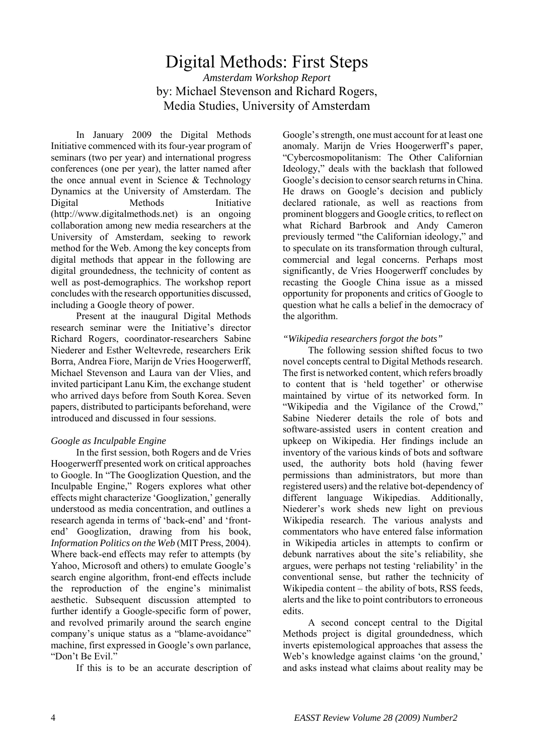### Digital Methods: First Steps *Amsterdam Workshop Report*  by: Michael Stevenson and Richard Rogers, Media Studies, University of Amsterdam

 In January 2009 the Digital Methods Initiative commenced with its four-year program of seminars (two per year) and international progress conferences (one per year), the latter named after the once annual event in Science & Technology Dynamics at the University of Amsterdam. The Digital Methods Initiative (http://www.digitalmethods.net) is an ongoing collaboration among new media researchers at the University of Amsterdam, seeking to rework method for the Web. Among the key concepts from digital methods that appear in the following are digital groundedness, the technicity of content as well as post-demographics. The workshop report concludes with the research opportunities discussed, including a Google theory of power.

 Present at the inaugural Digital Methods research seminar were the Initiative's director Richard Rogers, coordinator-researchers Sabine Niederer and Esther Weltevrede, researchers Erik Borra, Andrea Fiore, Marijn de Vries Hoogerwerff, Michael Stevenson and Laura van der Vlies, and invited participant Lanu Kim, the exchange student who arrived days before from South Korea. Seven papers, distributed to participants beforehand, were introduced and discussed in four sessions.

#### *Google as Inculpable Engine*

 In the first session, both Rogers and de Vries Hoogerwerff presented work on critical approaches to Google. In "The Googlization Question, and the Inculpable Engine," Rogers explores what other effects might characterize 'Googlization,' generally understood as media concentration, and outlines a research agenda in terms of 'back-end' and 'frontend' Googlization, drawing from his book, *Information Politics on the Web* (MIT Press, 2004). Where back-end effects may refer to attempts (by Yahoo, Microsoft and others) to emulate Google's search engine algorithm, front-end effects include the reproduction of the engine's minimalist aesthetic. Subsequent discussion attempted to further identify a Google-specific form of power, and revolved primarily around the search engine company's unique status as a "blame-avoidance" machine, first expressed in Google's own parlance, "Don't Be Evil."

If this is to be an accurate description of

Google's strength, one must account for at least one anomaly. Marijn de Vries Hoogerwerff's paper, "Cybercosmopolitanism: The Other Californian Ideology," deals with the backlash that followed Google's decision to censor search returns in China. He draws on Google's decision and publicly declared rationale, as well as reactions from prominent bloggers and Google critics, to reflect on what Richard Barbrook and Andy Cameron previously termed "the Californian ideology," and to speculate on its transformation through cultural, commercial and legal concerns. Perhaps most significantly, de Vries Hoogerwerff concludes by recasting the Google China issue as a missed opportunity for proponents and critics of Google to question what he calls a belief in the democracy of the algorithm.

#### *"Wikipedia researchers forgot the bots"*

 The following session shifted focus to two novel concepts central to Digital Methods research. The first is networked content, which refers broadly to content that is 'held together' or otherwise maintained by virtue of its networked form. In "Wikipedia and the Vigilance of the Crowd," Sabine Niederer details the role of bots and software-assisted users in content creation and upkeep on Wikipedia. Her findings include an inventory of the various kinds of bots and software used, the authority bots hold (having fewer permissions than administrators, but more than registered users) and the relative bot-dependency of different language Wikipedias. Additionally, Niederer's work sheds new light on previous Wikipedia research. The various analysts and commentators who have entered false information in Wikipedia articles in attempts to confirm or debunk narratives about the site's reliability, she argues, were perhaps not testing 'reliability' in the conventional sense, but rather the technicity of Wikipedia content – the ability of bots, RSS feeds, alerts and the like to point contributors to erroneous edits.

 A second concept central to the Digital Methods project is digital groundedness, which inverts epistemological approaches that assess the Web's knowledge against claims 'on the ground,' and asks instead what claims about reality may be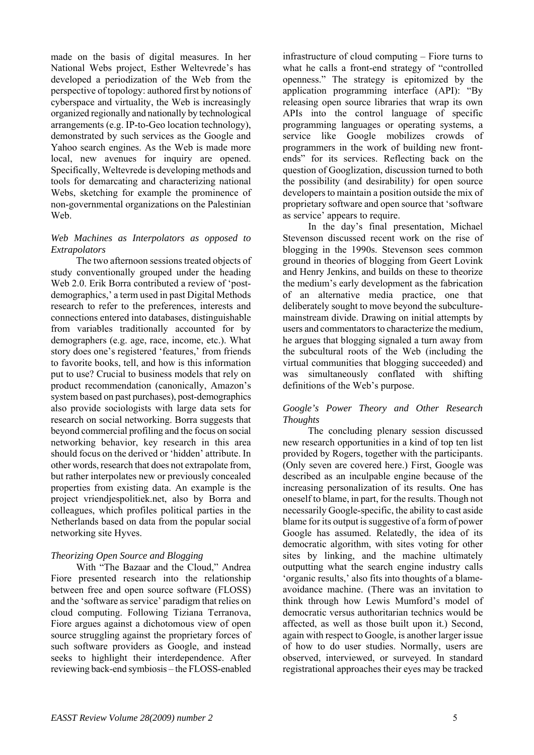made on the basis of digital measures. In her National Webs project, Esther Weltevrede's has developed a periodization of the Web from the perspective of topology: authored first by notions of cyberspace and virtuality, the Web is increasingly organized regionally and nationally by technological arrangements (e.g. IP-to-Geo location technology), demonstrated by such services as the Google and Yahoo search engines. As the Web is made more local, new avenues for inquiry are opened. Specifically, Weltevrede is developing methods and tools for demarcating and characterizing national Webs, sketching for example the prominence of non-governmental organizations on the Palestinian We<sub>b</sub>

#### *Web Machines as Interpolators as opposed to Extrapolators*

 The two afternoon sessions treated objects of study conventionally grouped under the heading Web 2.0. Erik Borra contributed a review of 'postdemographics,' a term used in past Digital Methods research to refer to the preferences, interests and connections entered into databases, distinguishable from variables traditionally accounted for by demographers (e.g. age, race, income, etc.). What story does one's registered 'features,' from friends to favorite books, tell, and how is this information put to use? Crucial to business models that rely on product recommendation (canonically, Amazon's system based on past purchases), post-demographics also provide sociologists with large data sets for research on social networking. Borra suggests that beyond commercial profiling and the focus on social networking behavior, key research in this area should focus on the derived or 'hidden' attribute. In other words, research that does not extrapolate from, but rather interpolates new or previously concealed properties from existing data. An example is the project vriendjespolitiek.net, also by Borra and colleagues, which profiles political parties in the Netherlands based on data from the popular social networking site Hyves.

#### *Theorizing Open Source and Blogging*

With "The Bazaar and the Cloud," Andrea Fiore presented research into the relationship between free and open source software (FLOSS) and the 'software as service' paradigm that relies on cloud computing. Following Tiziana Terranova, Fiore argues against a dichotomous view of open source struggling against the proprietary forces of such software providers as Google, and instead seeks to highlight their interdependence. After reviewing back-end symbiosis – the FLOSS-enabled

infrastructure of cloud computing – Fiore turns to what he calls a front-end strategy of "controlled openness." The strategy is epitomized by the application programming interface (API): "By releasing open source libraries that wrap its own APIs into the control language of specific programming languages or operating systems, a service like Google mobilizes crowds of programmers in the work of building new frontends" for its services. Reflecting back on the question of Googlization, discussion turned to both the possibility (and desirability) for open source developers to maintain a position outside the mix of proprietary software and open source that 'software as service' appears to require.

 In the day's final presentation, Michael Stevenson discussed recent work on the rise of blogging in the 1990s. Stevenson sees common ground in theories of blogging from Geert Lovink and Henry Jenkins, and builds on these to theorize the medium's early development as the fabrication of an alternative media practice, one that deliberately sought to move beyond the subculturemainstream divide. Drawing on initial attempts by users and commentators to characterize the medium, he argues that blogging signaled a turn away from the subcultural roots of the Web (including the virtual communities that blogging succeeded) and was simultaneously conflated with shifting definitions of the Web's purpose.

#### *Google's Power Theory and Other Research Thoughts*

 The concluding plenary session discussed new research opportunities in a kind of top ten list provided by Rogers, together with the participants. (Only seven are covered here.) First, Google was described as an inculpable engine because of the increasing personalization of its results. One has oneself to blame, in part, for the results. Though not necessarily Google-specific, the ability to cast aside blame for its output is suggestive of a form of power Google has assumed. Relatedly, the idea of its democratic algorithm, with sites voting for other sites by linking, and the machine ultimately outputting what the search engine industry calls 'organic results,' also fits into thoughts of a blameavoidance machine. (There was an invitation to think through how Lewis Mumford's model of democratic versus authoritarian technics would be affected, as well as those built upon it.) Second, again with respect to Google, is another larger issue of how to do user studies. Normally, users are observed, interviewed, or surveyed. In standard registrational approaches their eyes may be tracked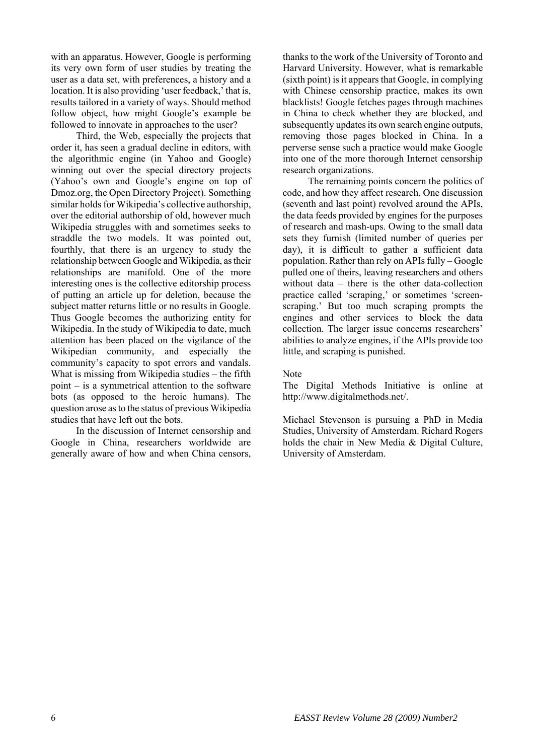with an apparatus. However, Google is performing its very own form of user studies by treating the user as a data set, with preferences, a history and a location. It is also providing 'user feedback,' that is, results tailored in a variety of ways. Should method follow object, how might Google's example be followed to innovate in approaches to the user?

 Third, the Web, especially the projects that order it, has seen a gradual decline in editors, with the algorithmic engine (in Yahoo and Google) winning out over the special directory projects (Yahoo's own and Google's engine on top of Dmoz.org, the Open Directory Project). Something similar holds for Wikipedia's collective authorship, over the editorial authorship of old, however much Wikipedia struggles with and sometimes seeks to straddle the two models. It was pointed out, fourthly, that there is an urgency to study the relationship between Google and Wikipedia, as their relationships are manifold. One of the more interesting ones is the collective editorship process of putting an article up for deletion, because the subject matter returns little or no results in Google. Thus Google becomes the authorizing entity for Wikipedia. In the study of Wikipedia to date, much attention has been placed on the vigilance of the Wikipedian community, and especially the community's capacity to spot errors and vandals. What is missing from Wikipedia studies – the fifth point – is a symmetrical attention to the software bots (as opposed to the heroic humans). The question arose as to the status of previous Wikipedia studies that have left out the bots.

 In the discussion of Internet censorship and Google in China, researchers worldwide are generally aware of how and when China censors,

thanks to the work of the University of Toronto and Harvard University. However, what is remarkable (sixth point) is it appears that Google, in complying with Chinese censorship practice, makes its own blacklists! Google fetches pages through machines in China to check whether they are blocked, and subsequently updates its own search engine outputs. removing those pages blocked in China. In a perverse sense such a practice would make Google into one of the more thorough Internet censorship research organizations.

 The remaining points concern the politics of code, and how they affect research. One discussion (seventh and last point) revolved around the APIs, the data feeds provided by engines for the purposes of research and mash-ups. Owing to the small data sets they furnish (limited number of queries per day), it is difficult to gather a sufficient data population. Rather than rely on APIs fully – Google pulled one of theirs, leaving researchers and others without data – there is the other data-collection practice called 'scraping,' or sometimes 'screenscraping.' But too much scraping prompts the engines and other services to block the data collection. The larger issue concerns researchers' abilities to analyze engines, if the APIs provide too little, and scraping is punished.

#### Note

The Digital Methods Initiative is online at http://www.digitalmethods.net/.

Michael Stevenson is pursuing a PhD in Media Studies, University of Amsterdam. Richard Rogers holds the chair in New Media & Digital Culture, University of Amsterdam.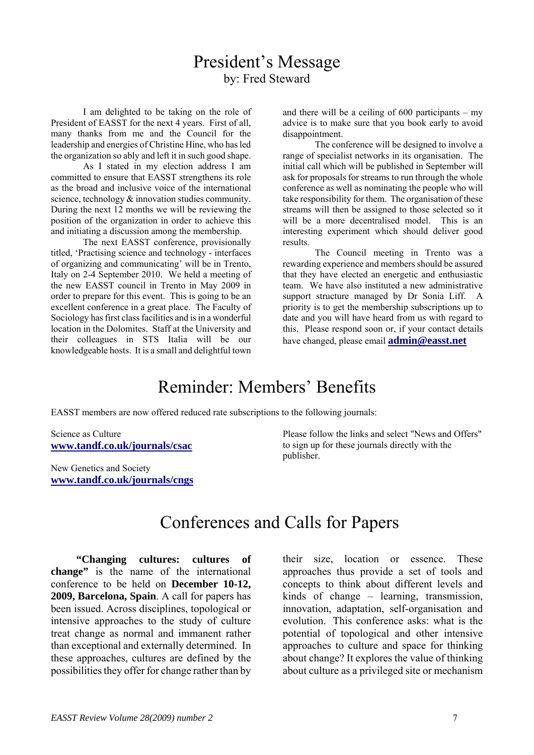## President's Message by: Fred Steward

 I am delighted to be taking on the role of President of EASST for the next 4 years. First of all, many thanks from me and the Council for the leadership and energies of Christine Hine, who has led the organization so ably and left it in such good shape.

 As I stated in my election address I am committed to ensure that EASST strengthens its role as the broad and inclusive voice of the international science, technology & innovation studies community. During the next 12 months we will be reviewing the position of the organization in order to achieve this and initiating a discussion among the membership.

 The next EASST conference, provisionally titled, 'Practising science and technology - interfaces of organizing and communicating' will be in Trento, Italy on 2-4 September 2010. We held a meeting of the new EASST council in Trento in May 2009 in order to prepare for this event. This is going to be an excellent conference in a great place. The Faculty of Sociology has first class facilities and is in a wonderful location in the Dolomites. Staff at the University and their colleagues in STS Italia will be our knowledgeable hosts. It is a small and delightful town and there will be a ceiling of  $600$  participants – my advice is to make sure that you book early to avoid disappointment.

 The conference will be designed to involve a range of specialist networks in its organisation. The initial call which will be published in September will ask for proposals for streams to run through the whole conference as well as nominating the people who will take responsibility for them. The organisation of these streams will then be assigned to those selected so it will be a more decentralised model. This is an interesting experiment which should deliver good results.

 The Council meeting in Trento was a rewarding experience and members should be assured that they have elected an energetic and enthusiastic team. We have also instituted a new administrative support structure managed by Dr Sonia Liff. A priority is to get the membership subscriptions up to date and you will have heard from us with regard to this. Please respond soon or, if your contact details have changed, please email **[admin@easst.net](mailto:admin@easst.net)**

# Reminder: Members' Benefits

EASST members are now offered reduced rate subscriptions to the following journals:

Science as Culture **www.tandf.co.uk/journals/csac**

New Genetics and Society **www.tandf.co.uk/journals/cngs**

Please follow the links and select "News and Offers" to sign up for these journals directly with the publisher.

## Conferences and Calls for Papers

**"Changing cultures: cultures of change"** is the name of the international conference to be held on **December 10-12, 2009, Barcelona, Spain**. A call for papers has been issued. Across disciplines, topological or intensive approaches to the study of culture treat change as normal and immanent rather than exceptional and externally determined. In these approaches, cultures are defined by the possibilities they offer for change rather than by their size, location or essence. These approaches thus provide a set of tools and concepts to think about different levels and kinds of change – learning, transmission, innovation, adaptation, self-organisation and evolution. This conference asks: what is the potential of topological and other intensive approaches to culture and space for thinking about change? It explores the value of thinking about culture as a privileged site or mechanism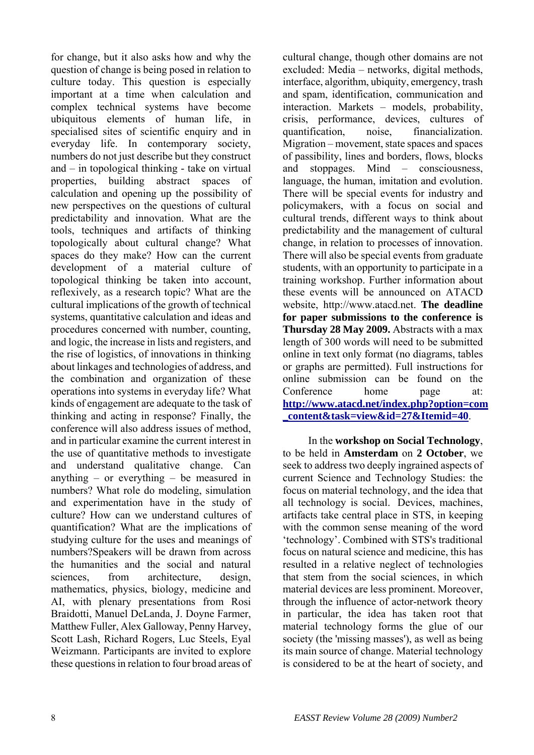for change, but it also asks how and why the question of change is being posed in relation to culture today. This question is especially important at a time when calculation and complex technical systems have become ubiquitous elements of human life, in specialised sites of scientific enquiry and in everyday life. In contemporary society, numbers do not just describe but they construct and – in topological thinking - take on virtual properties, building abstract spaces of calculation and opening up the possibility of new perspectives on the questions of cultural predictability and innovation. What are the tools, techniques and artifacts of thinking topologically about cultural change? What spaces do they make? How can the current development of a material culture of topological thinking be taken into account, reflexively, as a research topic? What are the cultural implications of the growth of technical systems, quantitative calculation and ideas and procedures concerned with number, counting, and logic, the increase in lists and registers, and the rise of logistics, of innovations in thinking about linkages and technologies of address, and the combination and organization of these operations into systems in everyday life? What kinds of engagement are adequate to the task of thinking and acting in response? Finally, the conference will also address issues of method, and in particular examine the current interest in the use of quantitative methods to investigate and understand qualitative change. Can anything – or everything – be measured in numbers? What role do modeling, simulation and experimentation have in the study of culture? How can we understand cultures of quantification? What are the implications of studying culture for the uses and meanings of numbers?Speakers will be drawn from across the humanities and the social and natural sciences, from architecture, design, mathematics, physics, biology, medicine and AI, with plenary presentations from Rosi Braidotti, Manuel DeLanda, J. Doyne Farmer, Matthew Fuller, Alex Galloway, Penny Harvey, Scott Lash, Richard Rogers, Luc Steels, Eyal Weizmann. Participants are invited to explore these questions in relation to four broad areas of

cultural change, though other domains are not excluded: Media – networks, digital methods, interface, algorithm, ubiquity, emergency, trash and spam, identification, communication and interaction. Markets – models, probability, crisis, performance, devices, cultures of quantification, noise, financialization. Migration – movement, state spaces and spaces of passibility, lines and borders, flows, blocks and stoppages. Mind – consciousness, language, the human, imitation and evolution. There will be special events for industry and policymakers, with a focus on social and cultural trends, different ways to think about predictability and the management of cultural change, in relation to processes of innovation. There will also be special events from graduate students, with an opportunity to participate in a training workshop. Further information about these events will be announced on ATACD website, http://www.atacd.net. **The deadline for paper submissions to the conference is Thursday 28 May 2009.** Abstracts with a max length of 300 words will need to be submitted online in text only format (no diagrams, tables or graphs are permitted). Full instructions for online submission can be found on the Conference home page at: **[http://www.atacd.net/index.php?option=com](http://www.atacd.net/index.php?option=com_content&task=view&id=27&Itemid=40) [\\_content&task=view&id=27&Itemid=40](http://www.atacd.net/index.php?option=com_content&task=view&id=27&Itemid=40)**.

In the **workshop on Social Technology**, to be held in **Amsterdam** on **2 October**, we seek to address two deeply ingrained aspects of current Science and Technology Studies: the focus on material technology, and the idea that all technology is social. Devices, machines, artifacts take central place in STS, in keeping with the common sense meaning of the word 'technology'. Combined with STS's traditional focus on natural science and medicine, this has resulted in a relative neglect of technologies that stem from the social sciences, in which material devices are less prominent. Moreover, through the influence of actor-network theory in particular, the idea has taken root that material technology forms the glue of our society (the 'missing masses'), as well as being its main source of change. Material technology is considered to be at the heart of society, and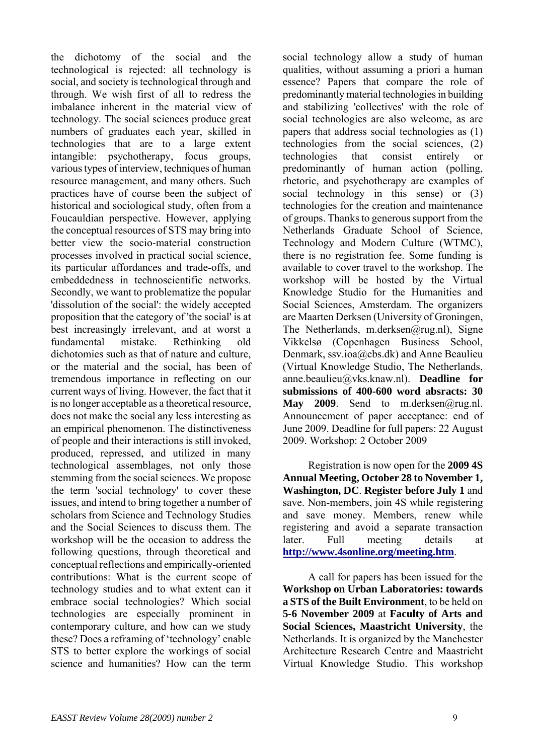the dichotomy of the social and the technological is rejected: all technology is social, and society is technological through and through. We wish first of all to redress the imbalance inherent in the material view of technology. The social sciences produce great numbers of graduates each year, skilled in technologies that are to a large extent intangible: psychotherapy, focus groups, various types of interview, techniques of human resource management, and many others. Such practices have of course been the subject of historical and sociological study, often from a Foucauldian perspective. However, applying the conceptual resources of STS may bring into better view the socio-material construction processes involved in practical social science, its particular affordances and trade-offs, and embeddedness in technoscientific networks. Secondly, we want to problematize the popular 'dissolution of the social': the widely accepted proposition that the category of 'the social' is at best increasingly irrelevant, and at worst a fundamental mistake. Rethinking old dichotomies such as that of nature and culture, or the material and the social, has been of tremendous importance in reflecting on our current ways of living. However, the fact that it is no longer acceptable as a theoretical resource, does not make the social any less interesting as an empirical phenomenon. The distinctiveness of people and their interactions is still invoked, produced, repressed, and utilized in many technological assemblages, not only those stemming from the social sciences. We propose the term 'social technology' to cover these issues, and intend to bring together a number of scholars from Science and Technology Studies and the Social Sciences to discuss them. The workshop will be the occasion to address the following questions, through theoretical and conceptual reflections and empirically-oriented contributions: What is the current scope of technology studies and to what extent can it embrace social technologies? Which social technologies are especially prominent in contemporary culture, and how can we study these? Does a reframing of 'technology' enable STS to better explore the workings of social science and humanities? How can the term

social technology allow a study of human qualities, without assuming a priori a human essence? Papers that compare the role of predominantly material technologies in building and stabilizing 'collectives' with the role of social technologies are also welcome, as are papers that address social technologies as (1) technologies from the social sciences, (2) technologies that consist entirely or predominantly of human action (polling, rhetoric, and psychotherapy are examples of social technology in this sense) or (3) technologies for the creation and maintenance of groups. Thanks to generous support from the Netherlands Graduate School of Science, Technology and Modern Culture (WTMC), there is no registration fee. Some funding is available to cover travel to the workshop. The workshop will be hosted by the Virtual Knowledge Studio for the Humanities and Social Sciences, Amsterdam. The organizers are Maarten Derksen (University of Groningen, The Netherlands, m.derksen@rug.nl), Signe Vikkelsø (Copenhagen Business School, Denmark, ssv.ioa@cbs.dk) and Anne Beaulieu (Virtual Knowledge Studio, The Netherlands, anne.beaulieu@vks.knaw.nl). **Deadline for submissions of 400-600 word absracts: 30**  May 2009. Send to m.derksen@rug.nl. Announcement of paper acceptance: end of June 2009. Deadline for full papers: 22 August 2009. Workshop: 2 October 2009

Registration is now open for the **2009 4S Annual Meeting, October 28 to November 1, Washington, DC**. **Register before July 1** and save. Non-members, join 4S while registering and save money. Members, renew while registering and avoid a separate transaction later. Full meeting details at **<http://www.4sonline.org/meeting.htm>**.

A call for papers has been issued for the **Workshop on Urban Laboratories: towards a STS of the Built Environment**, to be held on **5-6 November 2009** at **Faculty of Arts and Social Sciences, Maastricht University**, the Netherlands. It is organized by the Manchester Architecture Research Centre and Maastricht Virtual Knowledge Studio. This workshop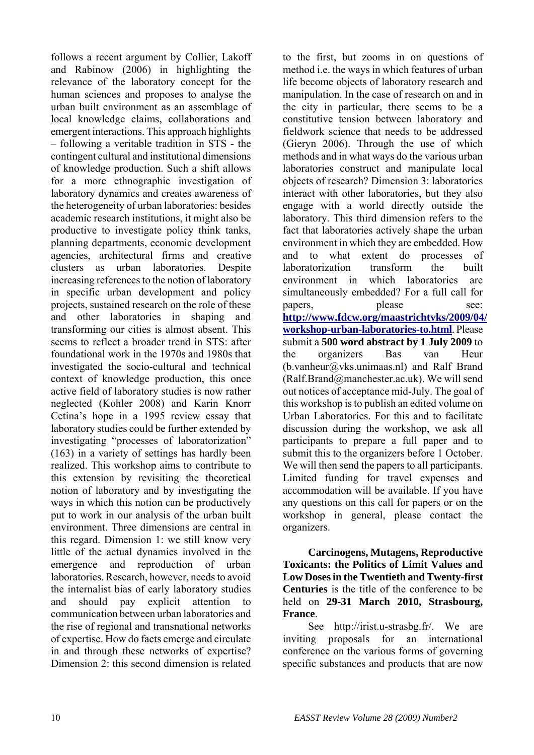follows a recent argument by Collier, Lakoff and Rabinow (2006) in highlighting the relevance of the laboratory concept for the human sciences and proposes to analyse the urban built environment as an assemblage of local knowledge claims, collaborations and emergent interactions. This approach highlights – following a veritable tradition in STS - the contingent cultural and institutional dimensions of knowledge production. Such a shift allows for a more ethnographic investigation of laboratory dynamics and creates awareness of the heterogeneity of urban laboratories: besides academic research institutions, it might also be productive to investigate policy think tanks, planning departments, economic development agencies, architectural firms and creative clusters as urban laboratories. Despite increasing references to the notion of laboratory in specific urban development and policy projects, sustained research on the role of these and other laboratories in shaping and transforming our cities is almost absent. This seems to reflect a broader trend in STS: after foundational work in the 1970s and 1980s that investigated the socio-cultural and technical context of knowledge production, this once active field of laboratory studies is now rather neglected (Kohler 2008) and Karin Knorr Cetina's hope in a 1995 review essay that laboratory studies could be further extended by investigating "processes of laboratorization" (163) in a variety of settings has hardly been realized. This workshop aims to contribute to this extension by revisiting the theoretical notion of laboratory and by investigating the ways in which this notion can be productively put to work in our analysis of the urban built environment. Three dimensions are central in this regard. Dimension 1: we still know very little of the actual dynamics involved in the emergence and reproduction of urban laboratories. Research, however, needs to avoid the internalist bias of early laboratory studies and should pay explicit attention to communication between urban laboratories and the rise of regional and transnational networks of expertise. How do facts emerge and circulate in and through these networks of expertise? Dimension 2: this second dimension is related

to the first, but zooms in on questions of method i.e. the ways in which features of urban life become objects of laboratory research and manipulation. In the case of research on and in the city in particular, there seems to be a constitutive tension between laboratory and fieldwork science that needs to be addressed (Gieryn 2006). Through the use of which methods and in what ways do the various urban laboratories construct and manipulate local objects of research? Dimension 3: laboratories interact with other laboratories, but they also engage with a world directly outside the laboratory. This third dimension refers to the fact that laboratories actively shape the urban environment in which they are embedded. How and to what extent do processes of laboratorization transform the built environment in which laboratories are simultaneously embedded? For a full call for papers, please see: **[http://www.fdcw.org/maastrichtvks/2009/04/](http://www.fdcw.org/maastrichtvks/2009/04/workshop-urban-laboratories-to.html) [workshop-urban-laboratories-to.html](http://www.fdcw.org/maastrichtvks/2009/04/workshop-urban-laboratories-to.html)**. Please submit a **500 word abstract by 1 July 2009** to the organizers Bas van Heur  $(b.vanheur@vks.unimaas.nl)$  and Ralf Brand (Ralf.Brand@manchester.ac.uk). We will send out notices of acceptance mid-July. The goal of this workshop is to publish an edited volume on Urban Laboratories. For this and to facilitate discussion during the workshop, we ask all participants to prepare a full paper and to submit this to the organizers before 1 October. We will then send the papers to all participants. Limited funding for travel expenses and accommodation will be available. If you have any questions on this call for papers or on the workshop in general, please contact the organizers.

**Carcinogens, Mutagens, Reproductive Toxicants: the Politics of Limit Values and Low Doses in the Twentieth and Twenty-first Centuries** is the title of the conference to be held on **29-31 March 2010, Strasbourg, France**.

See http://irist.u-strasbg.fr/. We are inviting proposals for an international conference on the various forms of governing specific substances and products that are now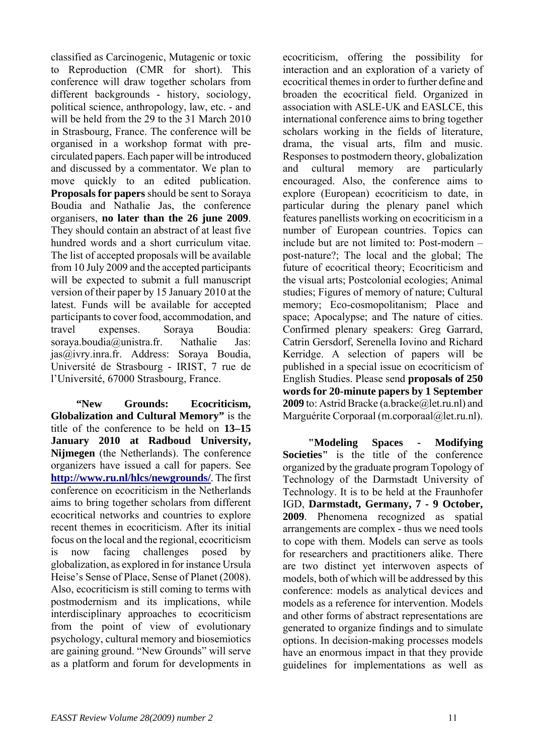classified as Carcinogenic, Mutagenic or toxic to Reproduction (CMR for short). This conference will draw together scholars from different backgrounds - history, sociology, political science, anthropology, law, etc. - and will be held from the 29 to the 31 March 2010 in Strasbourg, France. The conference will be organised in a workshop format with precirculated papers. Each paper will be introduced and discussed by a commentator. We plan to move quickly to an edited publication. **Proposals for papers** should be sent to Soraya Boudia and Nathalie Jas, the conference organisers, **no later than the 26 june 2009**. They should contain an abstract of at least five hundred words and a short curriculum vitae. The list of accepted proposals will be available from 10 July 2009 and the accepted participants will be expected to submit a full manuscript version of their paper by 15 January 2010 at the latest. Funds will be available for accepted participants to cover food, accommodation, and travel expenses. Soraya Boudia: soraya.boudia@unistra.fr. Nathalie Jas: jas@ivry.inra.fr. Address: Soraya Boudia, Université de Strasbourg - IRIST, 7 rue de l'Université, 67000 Strasbourg, France.

**"New Grounds: Ecocriticism, Globalization and Cultural Memory"** is the title of the conference to be held on **13–15 January 2010 at Radboud University, Nijmegen** (the Netherlands). The conference organizers have issued a call for papers. See **<http://www.ru.nl/hlcs/newgrounds/>**. The first conference on ecocriticism in the Netherlands aims to bring together scholars from different ecocritical networks and countries to explore recent themes in ecocriticism. After its initial focus on the local and the regional, ecocriticism is now facing challenges posed by globalization, as explored in for instance Ursula Heise's Sense of Place, Sense of Planet (2008). Also, ecocriticism is still coming to terms with postmodernism and its implications, while interdisciplinary approaches to ecocriticism from the point of view of evolutionary psychology, cultural memory and biosemiotics are gaining ground. "New Grounds" will serve as a platform and forum for developments in ecocriticism, offering the possibility for interaction and an exploration of a variety of ecocritical themes in order to further define and broaden the ecocritical field. Organized in association with ASLE-UK and EASLCE, this international conference aims to bring together scholars working in the fields of literature, drama, the visual arts, film and music. Responses to postmodern theory, globalization and cultural memory are particularly encouraged. Also, the conference aims to explore (European) ecocriticism to date, in particular during the plenary panel which features panellists working on ecocriticism in a number of European countries. Topics can include but are not limited to: Post-modern – post-nature?; The local and the global; The future of ecocritical theory; Ecocriticism and the visual arts; Postcolonial ecologies; Animal studies; Figures of memory of nature; Cultural memory; Eco-cosmopolitanism; Place and space; Apocalypse; and The nature of cities. Confirmed plenary speakers: Greg Garrard, Catrin Gersdorf, Serenella Iovino and Richard Kerridge. A selection of papers will be published in a special issue on ecocriticism of English Studies. Please send **proposals of 250 words for 20-minute papers by 1 September 2009** to: Astrid Bracke (a.bracke (a) let.ru.nl) and Marguérite Corporaal (m.corporaal@let.ru.nl).

**"Modeling Spaces - Modifying Societies"** is the title of the conference organized by the graduate program Topology of Technology of the Darmstadt University of Technology. It is to be held at the Fraunhofer IGD, **Darmstadt, Germany, 7 - 9 October, 2009**. Phenomena recognized as spatial arrangements are complex - thus we need tools to cope with them. Models can serve as tools for researchers and practitioners alike. There are two distinct yet interwoven aspects of models, both of which will be addressed by this conference: models as analytical devices and models as a reference for intervention. Models and other forms of abstract representations are generated to organize findings and to simulate options. In decision-making processes models have an enormous impact in that they provide guidelines for implementations as well as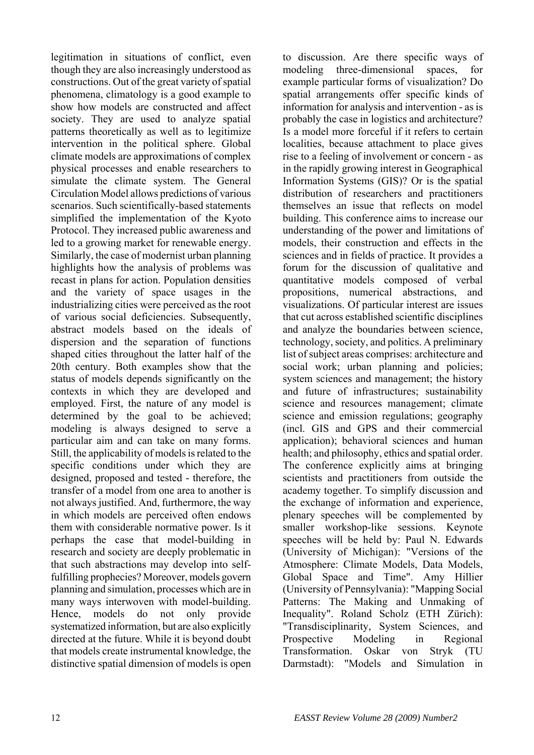legitimation in situations of conflict, even though they are also increasingly understood as constructions. Out of the great variety of spatial phenomena, climatology is a good example to show how models are constructed and affect society. They are used to analyze spatial patterns theoretically as well as to legitimize intervention in the political sphere. Global climate models are approximations of complex physical processes and enable researchers to simulate the climate system. The General Circulation Model allows predictions of various scenarios. Such scientifically-based statements simplified the implementation of the Kyoto Protocol. They increased public awareness and led to a growing market for renewable energy. Similarly, the case of modernist urban planning highlights how the analysis of problems was recast in plans for action. Population densities and the variety of space usages in the industrializing cities were perceived as the root of various social deficiencies. Subsequently, abstract models based on the ideals of dispersion and the separation of functions shaped cities throughout the latter half of the 20th century. Both examples show that the status of models depends significantly on the contexts in which they are developed and employed. First, the nature of any model is determined by the goal to be achieved; modeling is always designed to serve a particular aim and can take on many forms. Still, the applicability of models is related to the specific conditions under which they are designed, proposed and tested - therefore, the transfer of a model from one area to another is not always justified. And, furthermore, the way in which models are perceived often endows them with considerable normative power. Is it perhaps the case that model-building in research and society are deeply problematic in that such abstractions may develop into selffulfilling prophecies? Moreover, models govern planning and simulation, processes which are in many ways interwoven with model-building. Hence, models do not only provide systematized information, but are also explicitly directed at the future. While it is beyond doubt that models create instrumental knowledge, the distinctive spatial dimension of models is open

to discussion. Are there specific ways of modeling three-dimensional spaces, for example particular forms of visualization? Do spatial arrangements offer specific kinds of information for analysis and intervention - as is probably the case in logistics and architecture? Is a model more forceful if it refers to certain localities, because attachment to place gives rise to a feeling of involvement or concern - as in the rapidly growing interest in Geographical Information Systems (GIS)? Or is the spatial distribution of researchers and practitioners themselves an issue that reflects on model building. This conference aims to increase our understanding of the power and limitations of models, their construction and effects in the sciences and in fields of practice. It provides a forum for the discussion of qualitative and quantitative models composed of verbal propositions, numerical abstractions, and visualizations. Of particular interest are issues that cut across established scientific disciplines and analyze the boundaries between science technology, society, and politics. A preliminary list of subject areas comprises: architecture and social work; urban planning and policies; system sciences and management; the history and future of infrastructures; sustainability science and resources management; climate science and emission regulations; geography (incl. GIS and GPS and their commercial application); behavioral sciences and human health; and philosophy, ethics and spatial order. The conference explicitly aims at bringing scientists and practitioners from outside the academy together. To simplify discussion and the exchange of information and experience, plenary speeches will be complemented by smaller workshop-like sessions. Keynote speeches will be held by: Paul N. Edwards (University of Michigan): "Versions of the Atmosphere: Climate Models, Data Models, Global Space and Time". Amy Hillier (University of Pennsylvania): "Mapping Social Patterns: The Making and Unmaking of Inequality". Roland Scholz (ETH Zürich): "Transdisciplinarity, System Sciences, and Prospective Modeling in Regional Transformation. Oskar von Stryk (TU Darmstadt): "Models and Simulation in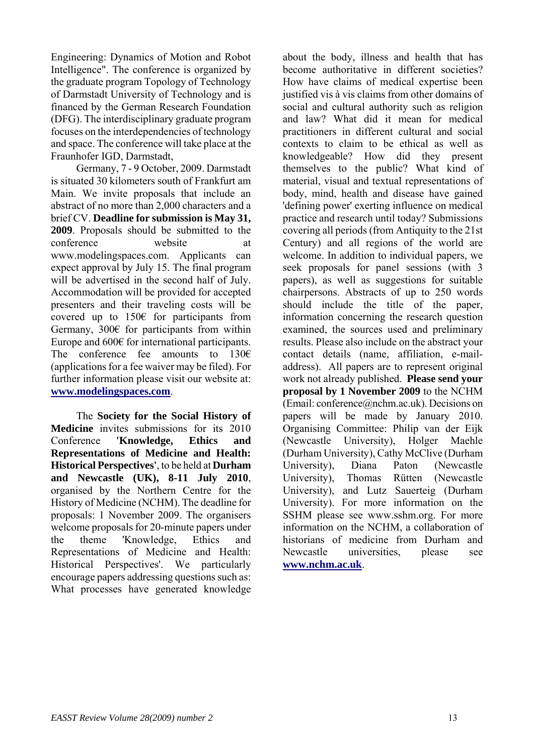Engineering: Dynamics of Motion and Robot Intelligence". The conference is organized by the graduate program Topology of Technology of Darmstadt University of Technology and is financed by the German Research Foundation (DFG). The interdisciplinary graduate program focuses on the interdependencies of technology and space. The conference will take place at the Fraunhofer IGD, Darmstadt,

Germany, 7 - 9 October, 2009. Darmstadt is situated 30 kilometers south of Frankfurt am Main. We invite proposals that include an abstract of no more than 2,000 characters and a brief CV. **Deadline for submission is May 31, 2009**. Proposals should be submitted to the conference website at www.modelingspaces.com. Applicants can expect approval by July 15. The final program will be advertised in the second half of July. Accommodation will be provided for accepted presenters and their traveling costs will be covered up to 150€ for participants from Germany,  $300 \in$  for participants from within Europe and 600€ for international participants. The conference fee amounts to  $130 $\epsilon$$ (applications for a fee waiver may be filed). For further information please visit our website at: **[www.modelingspaces.com](http://www.modelingspaces.com/)**.

The **Society for the Social History of Medicine** invites submissions for its 2010 Conference **'Knowledge, Ethics and Representations of Medicine and Health: Historical Perspectives'**, to be held at **Durham and Newcastle (UK), 8-11 July 2010**, organised by the Northern Centre for the History of Medicine (NCHM). The deadline for proposals: 1 November 2009. The organisers welcome proposals for 20-minute papers under the theme 'Knowledge, Ethics and Representations of Medicine and Health: Historical Perspectives'. We particularly encourage papers addressing questions such as: What processes have generated knowledge

about the body, illness and health that has become authoritative in different societies? How have claims of medical expertise been justified vis à vis claims from other domains of social and cultural authority such as religion and law? What did it mean for medical practitioners in different cultural and social contexts to claim to be ethical as well as knowledgeable? How did they present themselves to the public? What kind of material, visual and textual representations of body, mind, health and disease have gained 'defining power' exerting influence on medical practice and research until today? Submissions covering all periods (from Antiquity to the 21st Century) and all regions of the world are welcome. In addition to individual papers, we seek proposals for panel sessions (with 3 papers), as well as suggestions for suitable chairpersons. Abstracts of up to 250 words should include the title of the paper, information concerning the research question examined, the sources used and preliminary results. Please also include on the abstract your contact details (name, affiliation, e-mailaddress). All papers are to represent original work not already published. **Please send your proposal by 1 November 2009** to the NCHM (Email: conference@nchm.ac.uk). Decisions on papers will be made by January 2010. Organising Committee: Philip van der Eijk (Newcastle University), Holger Maehle (Durham University), Cathy McClive (Durham University), Diana Paton (Newcastle University), Thomas Rütten (Newcastle University), and Lutz Sauerteig (Durham University). For more information on the SSHM please see www.sshm.org. For more information on the NCHM, a collaboration of historians of medicine from Durham and Newcastle universities, please see **[www.nchm.ac.uk](http://www.nchm.ac.uk/)**.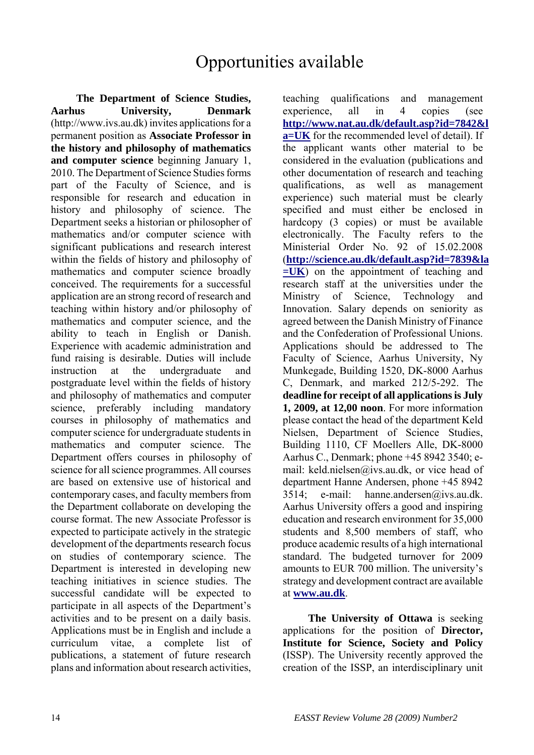# Opportunities available

**The Department of Science Studies, Aarhus University, Denmark** (http://www.ivs.au.dk) invites applications for a permanent position as **Associate Professor in the history and philosophy of mathematics and computer science** beginning January 1, 2010. The Department of Science Studies forms part of the Faculty of Science, and is responsible for research and education in history and philosophy of science. The Department seeks a historian or philosopher of mathematics and/or computer science with significant publications and research interest within the fields of history and philosophy of mathematics and computer science broadly conceived. The requirements for a successful application are an strong record of research and teaching within history and/or philosophy of mathematics and computer science, and the ability to teach in English or Danish. Experience with academic administration and fund raising is desirable. Duties will include instruction at the undergraduate and postgraduate level within the fields of history and philosophy of mathematics and computer science, preferably including mandatory courses in philosophy of mathematics and computer science for undergraduate students in mathematics and computer science. The Department offers courses in philosophy of science for all science programmes. All courses are based on extensive use of historical and contemporary cases, and faculty members from the Department collaborate on developing the course format. The new Associate Professor is expected to participate actively in the strategic development of the departments research focus on studies of contemporary science. The Department is interested in developing new teaching initiatives in science studies. The successful candidate will be expected to participate in all aspects of the Department's activities and to be present on a daily basis. Applications must be in English and include a curriculum vitae, a complete list of publications, a statement of future research plans and information about research activities,

teaching qualifications and management experience, all in 4 copies (see **[http://www.nat.au.dk/default.asp?id=7842&l](http://www.nat.au.dk/default.asp?id=7842&la=UK) [a=UK](http://www.nat.au.dk/default.asp?id=7842&la=UK)** for the recommended level of detail). If the applicant wants other material to be considered in the evaluation (publications and other documentation of research and teaching qualifications, as well as management experience) such material must be clearly specified and must either be enclosed in hardcopy (3 copies) or must be available electronically. The Faculty refers to the Ministerial Order No. 92 of 15.02.2008 (**[http://science.au.dk/default.asp?id=7839&la](http://science.au.dk/default.asp?id=7839&la=UK) [=UK](http://science.au.dk/default.asp?id=7839&la=UK)**) on the appointment of teaching and research staff at the universities under the Ministry of Science, Technology and Innovation. Salary depends on seniority as agreed between the Danish Ministry of Finance and the Confederation of Professional Unions. Applications should be addressed to The Faculty of Science, Aarhus University, Ny Munkegade, Building 1520, DK-8000 Aarhus C, Denmark, and marked 212/5-292. The **deadline for receipt of all applications is July 1, 2009, at 12,00 noon**. For more information please contact the head of the department Keld Nielsen, Department of Science Studies, Building 1110, CF Moellers Alle, DK-8000 Aarhus C., Denmark; phone +45 8942 3540; email: keld.nielsen@ivs.au.dk, or vice head of department Hanne Andersen, phone +45 8942 3514; e-mail: hanne.andersen@ivs.au.dk. Aarhus University offers a good and inspiring education and research environment for 35,000 students and 8,500 members of staff, who produce academic results of a high international standard. The budgeted turnover for 2009 amounts to EUR 700 million. The university's strategy and development contract are available at **[www.au.dk](http://www.au.dk/)**.

**The University of Ottawa** is seeking applications for the position of **Director, Institute for Science, Society and Policy**  (ISSP). The University recently approved the creation of the ISSP, an interdisciplinary unit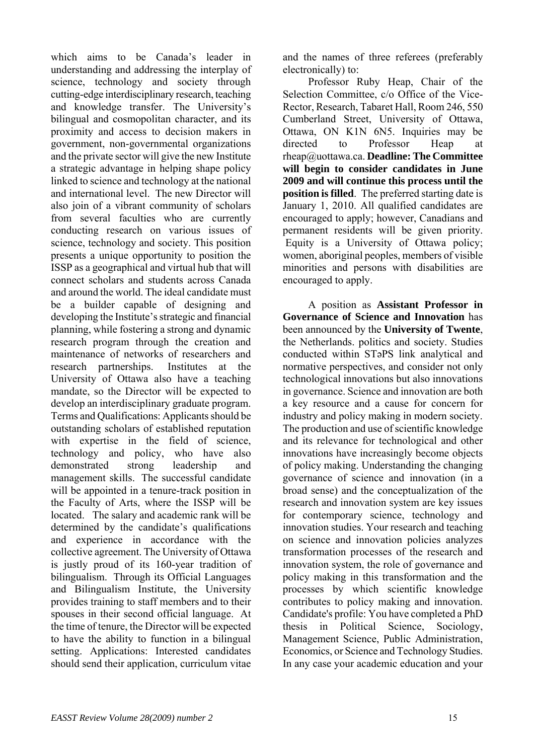which aims to be Canada's leader in understanding and addressing the interplay of science, technology and society through cutting-edge interdisciplinary research, teaching and knowledge transfer. The University's bilingual and cosmopolitan character, and its proximity and access to decision makers in government, non-governmental organizations and the private sector will give the new Institute a strategic advantage in helping shape policy linked to science and technology at the national and international level. The new Director will also join of a vibrant community of scholars from several faculties who are currently conducting research on various issues of science, technology and society. This position presents a unique opportunity to position the ISSP as a geographical and virtual hub that will connect scholars and students across Canada and around the world. The ideal candidate must be a builder capable of designing and developing the Institute's strategic and financial planning, while fostering a strong and dynamic research program through the creation and maintenance of networks of researchers and research partnerships. Institutes at the University of Ottawa also have a teaching mandate, so the Director will be expected to develop an interdisciplinary graduate program. Terms and Qualifications: Applicants should be outstanding scholars of established reputation with expertise in the field of science, technology and policy, who have also demonstrated strong leadership and management skills. The successful candidate will be appointed in a tenure-track position in the Faculty of Arts, where the ISSP will be located. The salary and academic rank will be determined by the candidate's qualifications and experience in accordance with the collective agreement. The University of Ottawa is justly proud of its 160-year tradition of bilingualism. Through its Official Languages and Bilingualism Institute, the University provides training to staff members and to their spouses in their second official language. At the time of tenure, the Director will be expected to have the ability to function in a bilingual setting. Applications: Interested candidates should send their application, curriculum vitae

and the names of three referees (preferably electronically) to:

Professor Ruby Heap, Chair of the Selection Committee, c/o Office of the Vice-Rector, Research, Tabaret Hall, Room 246, 550 Cumberland Street, University of Ottawa, Ottawa, ON K1N 6N5. Inquiries may be directed to Professor Heap at rheap@uottawa.ca. **Deadline: The Committee will begin to consider candidates in June 2009 and will continue this process until the position is filled**. The preferred starting date is January 1, 2010. All qualified candidates are encouraged to apply; however, Canadians and permanent residents will be given priority. Equity is a University of Ottawa policy; women, aboriginal peoples, members of visible minorities and persons with disabilities are encouraged to apply.

A position as **Assistant Professor in Governance of Science and Innovation** has been announced by the **University of Twente**, the Netherlands. politics and society. Studies conducted within STəPS link analytical and normative perspectives, and consider not only technological innovations but also innovations in governance. Science and innovation are both a key resource and a cause for concern for industry and policy making in modern society. The production and use of scientific knowledge and its relevance for technological and other innovations have increasingly become objects of policy making. Understanding the changing governance of science and innovation (in a broad sense) and the conceptualization of the research and innovation system are key issues for contemporary science, technology and innovation studies. Your research and teaching on science and innovation policies analyzes transformation processes of the research and innovation system, the role of governance and policy making in this transformation and the processes by which scientific knowledge contributes to policy making and innovation. Candidate's profile: You have completed a PhD thesis in Political Science, Sociology, Management Science, Public Administration, Economics, or Science and Technology Studies. In any case your academic education and your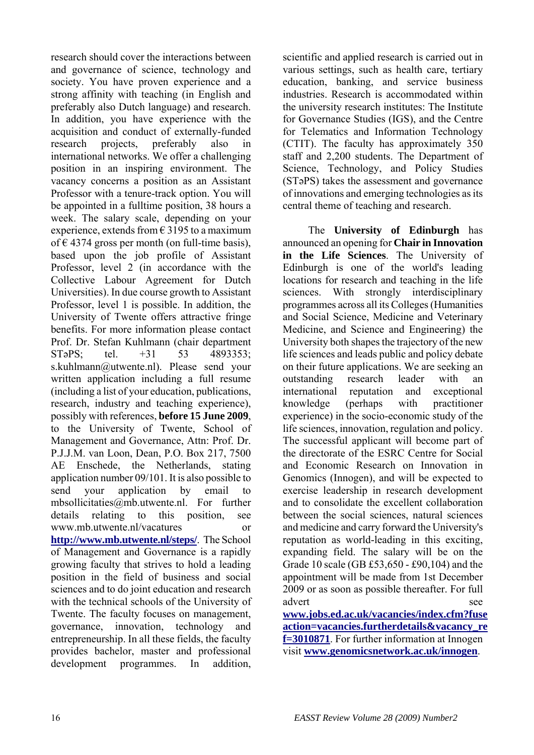research should cover the interactions between and governance of science, technology and society. You have proven experience and a strong affinity with teaching (in English and preferably also Dutch language) and research. In addition, you have experience with the acquisition and conduct of externally-funded research projects, preferably also in international networks. We offer a challenging position in an inspiring environment. The vacancy concerns a position as an Assistant Professor with a tenure-track option. You will be appointed in a fulltime position, 38 hours a week. The salary scale, depending on your experience, extends from  $\epsilon$  3195 to a maximum of € 4374 gross per month (on full-time basis), based upon the job profile of Assistant Professor, level 2 (in accordance with the Collective Labour Agreement for Dutch Universities). In due course growth to Assistant Professor, level 1 is possible. In addition, the University of Twente offers attractive fringe benefits. For more information please contact Prof. Dr. Stefan Kuhlmann (chair department ST<sub>9</sub>PS; tel. +31 53 4893353; s.kuhlmann@utwente.nl). Please send your written application including a full resume (including a list of your education, publications, research, industry and teaching experience), possibly with references, **before 15 June 2009**, to the University of Twente, School of Management and Governance, Attn: Prof. Dr. P.J.J.M. van Loon, Dean, P.O. Box 217, 7500 AE Enschede, the Netherlands, stating application number 09/101. It is also possible to send your application by email to mbsollicitaties@mb.utwente.nl. For further details relating to this position, see www.mb.utwente.nl/vacatures or **<http://www.mb.utwente.nl/steps/>**. The School of Management and Governance is a rapidly growing faculty that strives to hold a leading position in the field of business and social sciences and to do joint education and research with the technical schools of the University of Twente. The faculty focuses on management, governance, innovation, technology and entrepreneurship. In all these fields, the faculty provides bachelor, master and professional development programmes. In addition,

scientific and applied research is carried out in various settings, such as health care, tertiary education, banking, and service business industries. Research is accommodated within the university research institutes: The Institute for Governance Studies (IGS), and the Centre for Telematics and Information Technology (CTIT). The faculty has approximately 350 staff and 2,200 students. The Department of Science, Technology, and Policy Studies (STəPS) takes the assessment and governance of innovations and emerging technologies as its central theme of teaching and research.

The **University of Edinburgh** has announced an opening for **Chair in Innovation in the Life Sciences**. The University of Edinburgh is one of the world's leading locations for research and teaching in the life sciences. With strongly interdisciplinary programmes across all its Colleges (Humanities and Social Science, Medicine and Veterinary Medicine, and Science and Engineering) the University both shapes the trajectory of the new life sciences and leads public and policy debate on their future applications. We are seeking an outstanding research leader with an international reputation and exceptional knowledge (perhaps with practitioner experience) in the socio-economic study of the life sciences, innovation, regulation and policy. The successful applicant will become part of the directorate of the ESRC Centre for Social and Economic Research on Innovation in Genomics (Innogen), and will be expected to exercise leadership in research development and to consolidate the excellent collaboration between the social sciences, natural sciences and medicine and carry forward the University's reputation as world-leading in this exciting, expanding field. The salary will be on the Grade 10 scale (GB £53,650 - £90,104) and the appointment will be made from 1st December 2009 or as soon as possible thereafter. For full advert see **[www.jobs.ed.ac.uk/vacancies/index.cfm?fuse](http://www.jobs.ed.ac.uk/vacancies/index.cfm?fuseaction=vacancies.furtherdetails&vacancy_ref=3010871)**

**[action=vacancies.furtherdetails&vacancy\\_re](http://www.jobs.ed.ac.uk/vacancies/index.cfm?fuseaction=vacancies.furtherdetails&vacancy_ref=3010871) [f=3010871](http://www.jobs.ed.ac.uk/vacancies/index.cfm?fuseaction=vacancies.furtherdetails&vacancy_ref=3010871)**. For further information at Innogen visit **[www.genomicsnetwork.ac.uk/innogen](http://www.genomicsnetwork.ac.uk/innogen)**.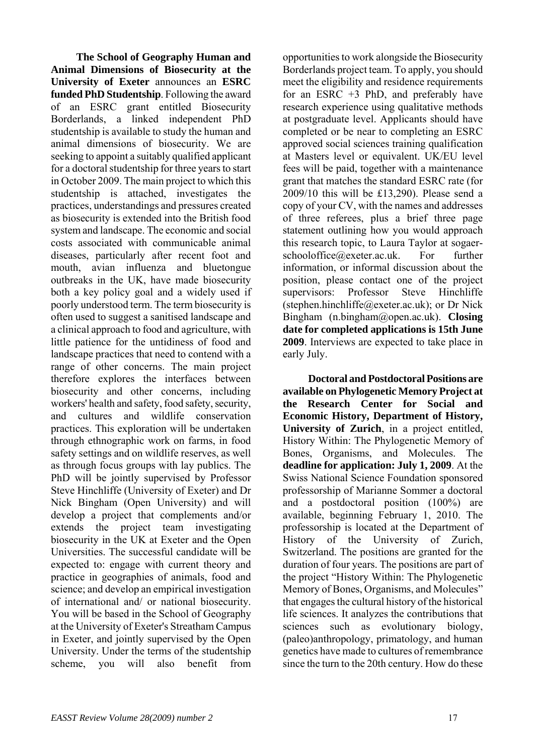**The School of Geography Human and Animal Dimensions of Biosecurity at the University of Exeter** announces an **ESRC funded PhD Studentship**. Following the award of an ESRC grant entitled Biosecurity Borderlands, a linked independent PhD studentship is available to study the human and animal dimensions of biosecurity. We are seeking to appoint a suitably qualified applicant for a doctoral studentship for three years to start in October 2009. The main project to which this studentship is attached, investigates the practices, understandings and pressures created as biosecurity is extended into the British food system and landscape. The economic and social costs associated with communicable animal diseases, particularly after recent foot and mouth, avian influenza and bluetongue outbreaks in the UK, have made biosecurity both a key policy goal and a widely used if poorly understood term. The term biosecurity is often used to suggest a sanitised landscape and a clinical approach to food and agriculture, with little patience for the untidiness of food and landscape practices that need to contend with a range of other concerns. The main project therefore explores the interfaces between biosecurity and other concerns, including workers' health and safety, food safety, security, and cultures and wildlife conservation practices. This exploration will be undertaken through ethnographic work on farms, in food safety settings and on wildlife reserves, as well as through focus groups with lay publics. The PhD will be jointly supervised by Professor Steve Hinchliffe (University of Exeter) and Dr Nick Bingham (Open University) and will develop a project that complements and/or extends the project team investigating biosecurity in the UK at Exeter and the Open Universities. The successful candidate will be expected to: engage with current theory and practice in geographies of animals, food and science; and develop an empirical investigation of international and/ or national biosecurity. You will be based in the School of Geography at the University of Exeter's Streatham Campus in Exeter, and jointly supervised by the Open University. Under the terms of the studentship scheme, you will also benefit from

opportunities to work alongside the Biosecurity Borderlands project team. To apply, you should meet the eligibility and residence requirements for an ESRC +3 PhD, and preferably have research experience using qualitative methods at postgraduate level. Applicants should have completed or be near to completing an ESRC approved social sciences training qualification at Masters level or equivalent. UK/EU level fees will be paid, together with a maintenance grant that matches the standard ESRC rate (for 2009/10 this will be £13,290). Please send a copy of your CV, with the names and addresses of three referees, plus a brief three page statement outlining how you would approach this research topic, to Laura Taylor at sogaerschooloffice@exeter.ac.uk. For further information, or informal discussion about the position, please contact one of the project supervisors: Professor Steve Hinchliffe (stephen.hinchliffe@exeter.ac.uk); or Dr Nick Bingham (n.bingham@open.ac.uk). **Closing date for completed applications is 15th June 2009**. Interviews are expected to take place in early July.

**Doctoral and Postdoctoral Positions are available on Phylogenetic Memory Project at the Research Center for Social and Economic History, Department of History, University of Zurich**, in a project entitled, History Within: The Phylogenetic Memory of Bones, Organisms, and Molecules. The **deadline for application: July 1, 2009**. At the Swiss National Science Foundation sponsored professorship of Marianne Sommer a doctoral and a postdoctoral position (100%) are available, beginning February 1, 2010. The professorship is located at the Department of History of the University of Zurich, Switzerland. The positions are granted for the duration of four years. The positions are part of the project "History Within: The Phylogenetic Memory of Bones, Organisms, and Molecules" that engages the cultural history of the historical life sciences. It analyzes the contributions that sciences such as evolutionary biology, (paleo)anthropology, primatology, and human genetics have made to cultures of remembrance since the turn to the 20th century. How do these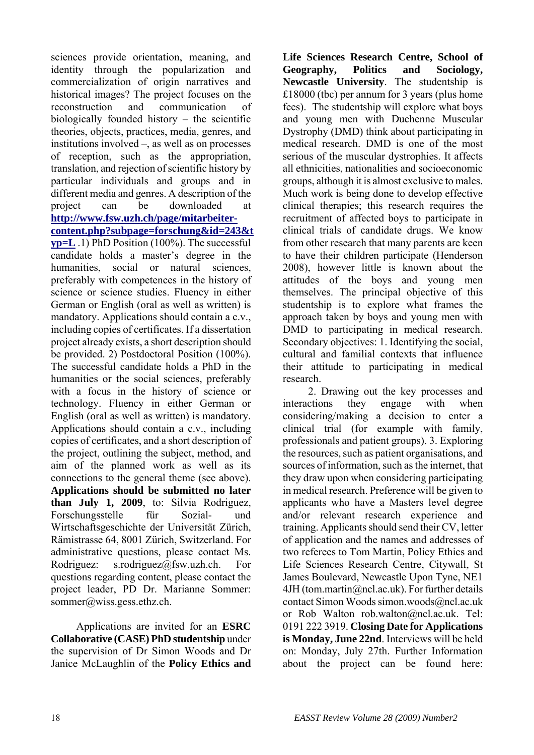sciences provide orientation, meaning, and identity through the popularization and commercialization of origin narratives and historical images? The project focuses on the reconstruction and communication of biologically founded history  $-$  the scientific theories, objects, practices, media, genres, and institutions involved –, as well as on processes of reception, such as the appropriation, translation, and rejection of scientific history by particular individuals and groups and in different media and genres. A description of the project can be downloaded at **[http://www.fsw.uzh.ch/page/mitarbeiter](http://www.fsw.uzh.ch/page/mitarbeiter-content.php?subpage=forschung&id=243&typ=L)[content.php?subpage=forschung&id=243&t](http://www.fsw.uzh.ch/page/mitarbeiter-content.php?subpage=forschung&id=243&typ=L) [yp=L](http://www.fsw.uzh.ch/page/mitarbeiter-content.php?subpage=forschung&id=243&typ=L)** .1) PhD Position (100%). The successful candidate holds a master's degree in the humanities, social or natural sciences, preferably with competences in the history of science or science studies. Fluency in either German or English (oral as well as written) is mandatory. Applications should contain a c.v., including copies of certificates. If a dissertation project already exists, a short description should be provided. 2) Postdoctoral Position (100%). The successful candidate holds a PhD in the humanities or the social sciences, preferably with a focus in the history of science or technology. Fluency in either German or English (oral as well as written) is mandatory. Applications should contain a c.v., including copies of certificates, and a short description of the project, outlining the subject, method, and aim of the planned work as well as its connections to the general theme (see above). **Applications should be submitted no later than July 1, 2009**, to: Silvia Rodriguez, Forschungsstelle für Sozial- und Wirtschaftsgeschichte der Universität Zürich, Rämistrasse 64, 8001 Zürich, Switzerland. For administrative questions, please contact Ms. Rodriguez: s.rodriguez@fsw.uzh.ch. For questions regarding content, please contact the project leader, PD Dr. Marianne Sommer: sommer@wiss.gess.ethz.ch.

Applications are invited for an **ESRC Collaborative (CASE) PhD studentship** under the supervision of Dr Simon Woods and Dr Janice McLaughlin of the **Policy Ethics and**  **Life Sciences Research Centre, School of Geography, Politics and Sociology, Newcastle University**. The studentship is £18000 (tbc) per annum for 3 years (plus home fees). The studentship will explore what boys and young men with Duchenne Muscular Dystrophy (DMD) think about participating in medical research. DMD is one of the most serious of the muscular dystrophies. It affects all ethnicities, nationalities and socioeconomic groups, although it is almost exclusive to males. Much work is being done to develop effective clinical therapies; this research requires the recruitment of affected boys to participate in clinical trials of candidate drugs. We know from other research that many parents are keen to have their children participate (Henderson 2008), however little is known about the attitudes of the boys and young men themselves. The principal objective of this studentship is to explore what frames the approach taken by boys and young men with DMD to participating in medical research. Secondary objectives: 1. Identifying the social, cultural and familial contexts that influence their attitude to participating in medical research.

2. Drawing out the key processes and interactions they engage with when considering/making a decision to enter a clinical trial (for example with family, professionals and patient groups). 3. Exploring the resources, such as patient organisations, and sources of information, such as the internet, that they draw upon when considering participating in medical research. Preference will be given to applicants who have a Masters level degree and/or relevant research experience and training. Applicants should send their CV, letter of application and the names and addresses of two referees to Tom Martin, Policy Ethics and Life Sciences Research Centre, Citywall, St James Boulevard, Newcastle Upon Tyne, NE1  $4JH$  (tom.martin@ncl.ac.uk). For further details contact Simon Woods simon.woods@ncl.ac.uk or Rob Walton rob.walton@ncl.ac.uk. Tel: 0191 222 3919. **Closing Date for Applications is Monday, June 22nd**. Interviews will be held on: Monday, July 27th. Further Information about the project can be found here: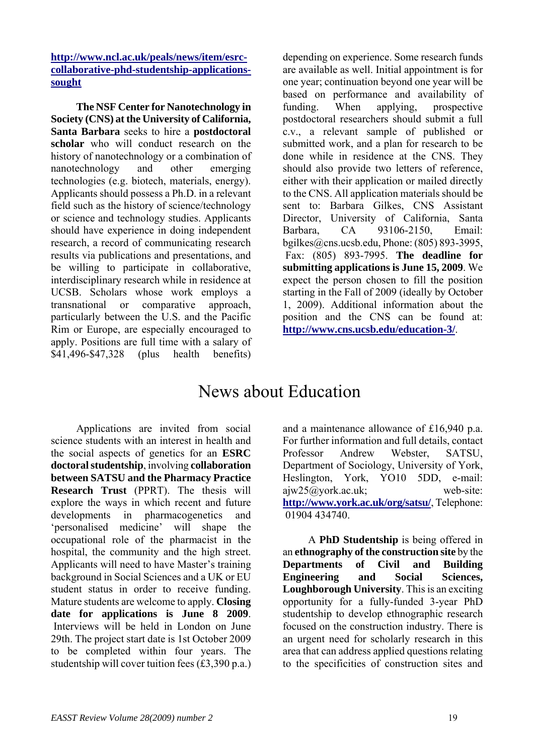**[http://www.ncl.ac.uk/peals/news/item/esrc](http://www.ncl.ac.uk/peals/news/item/esrc-collaborative-phd-studentship-applications-sought)[collaborative-phd-studentship-applications](http://www.ncl.ac.uk/peals/news/item/esrc-collaborative-phd-studentship-applications-sought)[sought](http://www.ncl.ac.uk/peals/news/item/esrc-collaborative-phd-studentship-applications-sought)**

**The NSF Center for Nanotechnology in Society (CNS) at the University of California, Santa Barbara** seeks to hire a **postdoctoral scholar** who will conduct research on the history of nanotechnology or a combination of nanotechnology and other emerging technologies (e.g. biotech, materials, energy). Applicants should possess a Ph.D. in a relevant field such as the history of science/technology or science and technology studies. Applicants should have experience in doing independent research, a record of communicating research results via publications and presentations, and be willing to participate in collaborative, interdisciplinary research while in residence at UCSB. Scholars whose work employs a transnational or comparative approach, particularly between the U.S. and the Pacific Rim or Europe, are especially encouraged to apply. Positions are full time with a salary of \$41,496-\$47,328 (plus health benefits)

depending on experience. Some research funds are available as well. Initial appointment is for one year; continuation beyond one year will be based on performance and availability of funding. When applying, prospective postdoctoral researchers should submit a full c.v., a relevant sample of published or submitted work, and a plan for research to be done while in residence at the CNS. They should also provide two letters of reference, either with their application or mailed directly to the CNS. All application materials should be sent to: Barbara Gilkes, CNS Assistant Director, University of California, Santa Barbara, CA 93106-2150, Email: bgilkes@cns.ucsb.edu, Phone: (805) 893-3995, Fax: (805) 893-7995. **The deadline for submitting applications is June 15, 2009**. We expect the person chosen to fill the position starting in the Fall of 2009 (ideally by October 1, 2009). Additional information about the position and the CNS can be found at: **<http://www.cns.ucsb.edu/education-3/>**.

## News about Education

Applications are invited from social science students with an interest in health and the social aspects of genetics for an **ESRC doctoral studentship**, involving **collaboration between SATSU and the Pharmacy Practice Research Trust** (PPRT). The thesis will explore the ways in which recent and future developments in pharmacogenetics and 'personalised medicine' will shape the occupational role of the pharmacist in the hospital, the community and the high street. Applicants will need to have Master's training background in Social Sciences and a UK or EU student status in order to receive funding. Mature students are welcome to apply. **Closing date for applications is June 8 2009**. Interviews will be held in London on June 29th. The project start date is 1st October 2009 to be completed within four years. The studentship will cover tuition fees (£3,390 p.a.)

and a maintenance allowance of £16,940 p.a. For further information and full details, contact Professor Andrew Webster, SATSU, Department of Sociology, University of York, Heslington, York, YO10 5DD, e-mail: ajw25@york.ac.uk; web-site: **<http://www.york.ac.uk/org/satsu/>**, Telephone: 01904 434740.

A **PhD Studentship** is being offered in an **ethnography of the construction site** by the **Departments of Civil and Building Engineering and Social Sciences, Loughborough University**. This is an exciting opportunity for a fully-funded 3-year PhD studentship to develop ethnographic research focused on the construction industry. There is an urgent need for scholarly research in this area that can address applied questions relating to the specificities of construction sites and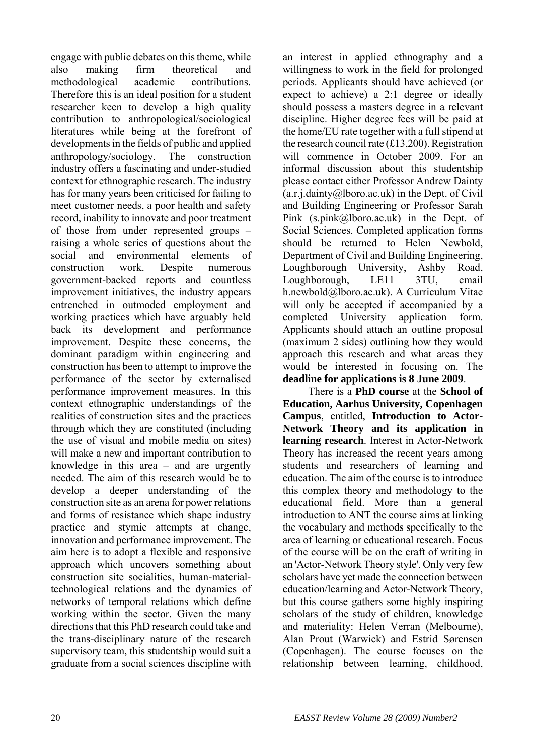engage with public debates on this theme, while also making firm theoretical and methodological academic contributions. Therefore this is an ideal position for a student researcher keen to develop a high quality contribution to anthropological/sociological literatures while being at the forefront of developments in the fields of public and applied anthropology/sociology. The construction industry offers a fascinating and under-studied context for ethnographic research. The industry has for many years been criticised for failing to meet customer needs, a poor health and safety record, inability to innovate and poor treatment of those from under represented groups – raising a whole series of questions about the social and environmental elements of construction work. Despite numerous government-backed reports and countless improvement initiatives, the industry appears entrenched in outmoded employment and working practices which have arguably held back its development and performance improvement. Despite these concerns, the dominant paradigm within engineering and construction has been to attempt to improve the performance of the sector by externalised performance improvement measures. In this context ethnographic understandings of the realities of construction sites and the practices through which they are constituted (including the use of visual and mobile media on sites) will make a new and important contribution to knowledge in this area – and are urgently needed. The aim of this research would be to develop a deeper understanding of the construction site as an arena for power relations and forms of resistance which shape industry practice and stymie attempts at change, innovation and performance improvement. The aim here is to adopt a flexible and responsive approach which uncovers something about construction site socialities, human-materialtechnological relations and the dynamics of networks of temporal relations which define working within the sector. Given the many directions that this PhD research could take and the trans-disciplinary nature of the research supervisory team, this studentship would suit a graduate from a social sciences discipline with

an interest in applied ethnography and a willingness to work in the field for prolonged periods. Applicants should have achieved (or expect to achieve) a 2:1 degree or ideally should possess a masters degree in a relevant discipline. Higher degree fees will be paid at the home/EU rate together with a full stipend at the research council rate (£13,200). Registration will commence in October 2009. For an informal discussion about this studentship please contact either Professor Andrew Dainty  $(a.r.i.daintv@lboro.ac.uk)$  in the Dept. of Civil and Building Engineering or Professor Sarah Pink (s.pink@lboro.ac.uk) in the Dept. of Social Sciences. Completed application forms should be returned to Helen Newbold, Department of Civil and Building Engineering, Loughborough University, Ashby Road, Loughborough, LE11 3TU, email h.newbold@lboro.ac.uk). A Curriculum Vitae will only be accepted if accompanied by a completed University application form. Applicants should attach an outline proposal (maximum 2 sides) outlining how they would approach this research and what areas they would be interested in focusing on. The **deadline for applications is 8 June 2009**.

There is a **PhD course** at the **School of Education, Aarhus University, Copenhagen Campus**, entitled, **Introduction to Actor-Network Theory and its application in learning research**. Interest in Actor-Network Theory has increased the recent years among students and researchers of learning and education. The aim of the course is to introduce this complex theory and methodology to the educational field. More than a general introduction to ANT the course aims at linking the vocabulary and methods specifically to the area of learning or educational research. Focus of the course will be on the craft of writing in an 'Actor-Network Theory style'. Only very few scholars have yet made the connection between education/learning and Actor-Network Theory, but this course gathers some highly inspiring scholars of the study of children, knowledge and materiality: Helen Verran (Melbourne), Alan Prout (Warwick) and Estrid Sørensen (Copenhagen). The course focuses on the relationship between learning, childhood,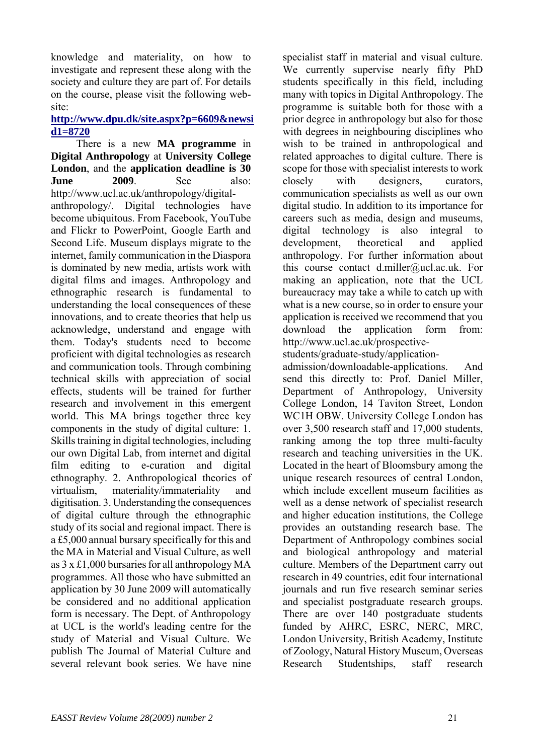knowledge and materiality, on how to investigate and represent these along with the society and culture they are part of. For details on the course, please visit the following website:

#### **[http://www.dpu.dk/site.aspx?p=6609&newsi](http://www.dpu.dk/site.aspx?p=6609&newsid1=8720) [d1=8720](http://www.dpu.dk/site.aspx?p=6609&newsid1=8720)**

There is a new **MA programme** in **Digital Anthropology** at **University College London**, and the **application deadline is 30 June 2009** See also: http://www.ucl.ac.uk/anthropology/digitalanthropology/. Digital technologies have become ubiquitous. From Facebook, YouTube and Flickr to PowerPoint, Google Earth and Second Life. Museum displays migrate to the internet, family communication in the Diaspora is dominated by new media, artists work with digital films and images. Anthropology and ethnographic research is fundamental to understanding the local consequences of these innovations, and to create theories that help us acknowledge, understand and engage with them. Today's students need to become proficient with digital technologies as research and communication tools. Through combining technical skills with appreciation of social effects, students will be trained for further research and involvement in this emergent world. This MA brings together three key components in the study of digital culture: 1. Skills training in digital technologies, including our own Digital Lab, from internet and digital film editing to e-curation and digital ethnography. 2. Anthropological theories of virtualism, materiality/immateriality and digitisation. 3. Understanding the consequences of digital culture through the ethnographic study of its social and regional impact. There is a £5,000 annual bursary specifically for this and the MA in Material and Visual Culture, as well as 3 x £1,000 bursaries for all anthropology MA programmes. All those who have submitted an application by 30 June 2009 will automatically be considered and no additional application form is necessary. The Dept. of Anthropology at UCL is the world's leading centre for the study of Material and Visual Culture. We publish The Journal of Material Culture and several relevant book series. We have nine

specialist staff in material and visual culture. We currently supervise nearly fifty PhD students specifically in this field, including many with topics in Digital Anthropology. The programme is suitable both for those with a prior degree in anthropology but also for those with degrees in neighbouring disciplines who wish to be trained in anthropological and related approaches to digital culture. There is scope for those with specialist interests to work closely with designers, curators, communication specialists as well as our own digital studio. In addition to its importance for careers such as media, design and museums, digital technology is also integral to development, theoretical and applied anthropology. For further information about this course contact d.miller@ucl.ac.uk. For making an application, note that the UCL bureaucracy may take a while to catch up with what is a new course, so in order to ensure your application is received we recommend that you download the application form from: http://www.ucl.ac.uk/prospective-

students/graduate-study/application-

admission/downloadable-applications. And send this directly to: Prof. Daniel Miller, Department of Anthropology, University College London, 14 Taviton Street, London WC1H OBW. University College London has over 3,500 research staff and 17,000 students, ranking among the top three multi-faculty research and teaching universities in the UK. Located in the heart of Bloomsbury among the unique research resources of central London, which include excellent museum facilities as well as a dense network of specialist research and higher education institutions, the College provides an outstanding research base. The Department of Anthropology combines social and biological anthropology and material culture. Members of the Department carry out research in 49 countries, edit four international journals and run five research seminar series and specialist postgraduate research groups. There are over 140 postgraduate students funded by AHRC, ESRC, NERC, MRC, London University, British Academy, Institute of Zoology, Natural History Museum, Overseas Research Studentships, staff research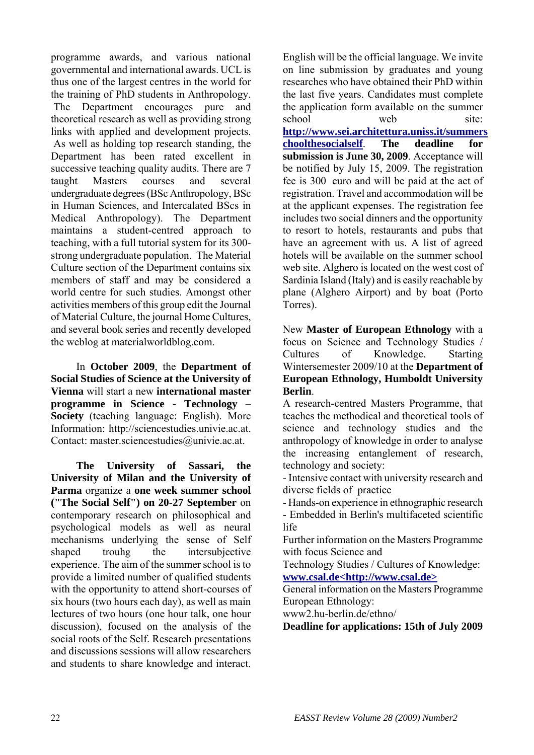programme awards, and various national governmental and international awards. UCL is thus one of the largest centres in the world for the training of PhD students in Anthropology. The Department encourages pure and theoretical research as well as providing strong links with applied and development projects. As well as holding top research standing, the Department has been rated excellent in successive teaching quality audits. There are 7 taught Masters courses and several undergraduate degrees (BSc Anthropology, BSc in Human Sciences, and Intercalated BScs in Medical Anthropology). The Department maintains a student-centred approach to teaching, with a full tutorial system for its 300 strong undergraduate population. The Material Culture section of the Department contains six members of staff and may be considered a world centre for such studies. Amongst other activities members of this group edit the Journal of Material Culture, the journal Home Cultures, and several book series and recently developed the weblog at materialworldblog.com.

In **October 2009**, the **Department of Social Studies of Science at the University of Vienna** will start a new **international master programme in Science - Technology – Society** (teaching language: English). More Information: http://sciencestudies.univie.ac.at. Contact: master.sciencestudies@univie.ac.at.

**The University of Sassari, the University of Milan and the University of Parma** organize a **one week summer school ("The Social Self") on 20-27 September** on contemporary research on philosophical and psychological models as well as neural mechanisms underlying the sense of Self shaped trouhg the intersubjective experience. The aim of the summer school is to provide a limited number of qualified students with the opportunity to attend short-courses of six hours (two hours each day), as well as main lectures of two hours (one hour talk, one hour discussion), focused on the analysis of the social roots of the Self. Research presentations and discussions sessions will allow researchers and students to share knowledge and interact.

English will be the official language. We invite on line submission by graduates and young researches who have obtained their PhD within the last five years. Candidates must complete the application form available on the summer school web site **[http://www.sei.architettura.uniss.it/summers](http://www.sei.architettura.uniss.it/summerschoolthesocialself) [choolthesocialself](http://www.sei.architettura.uniss.it/summerschoolthesocialself)**. **The deadline for submission is June 30, 2009**. Acceptance will be notified by July 15, 2009. The registration fee is 300 euro and will be paid at the act of registration. Travel and accommodation will be at the applicant expenses. The registration fee includes two social dinners and the opportunity to resort to hotels, restaurants and pubs that have an agreement with us. A list of agreed hotels will be available on the summer school web site. Alghero is located on the west cost of Sardinia Island (Italy) and is easily reachable by plane (Alghero Airport) and by boat (Porto Torres).

New **Master of European Ethnology** with a focus on Science and Technology Studies / Cultures of Knowledge. Starting Wintersemester 2009/10 at the **Department of European Ethnology, Humboldt University Berlin**.

A research-centred Masters Programme, that teaches the methodical and theoretical tools of science and technology studies and the anthropology of knowledge in order to analyse the increasing entanglement of research, technology and society:

- Intensive contact with university research and diverse fields of practice

- Hands-on experience in ethnographic research

- Embedded in Berlin's multifaceted scientific life

Further information on the Masters Programme with focus Science and

Technology Studies / Cultures of Knowledge: **[www.csal.de<http://www.csal.de>](www.csal.de%3Chttp://www.csal.de%3E)**

General information on the Masters Programme European Ethnology:

www2.hu-berlin.de/ethno/

**Deadline for applications: 15th of July 2009**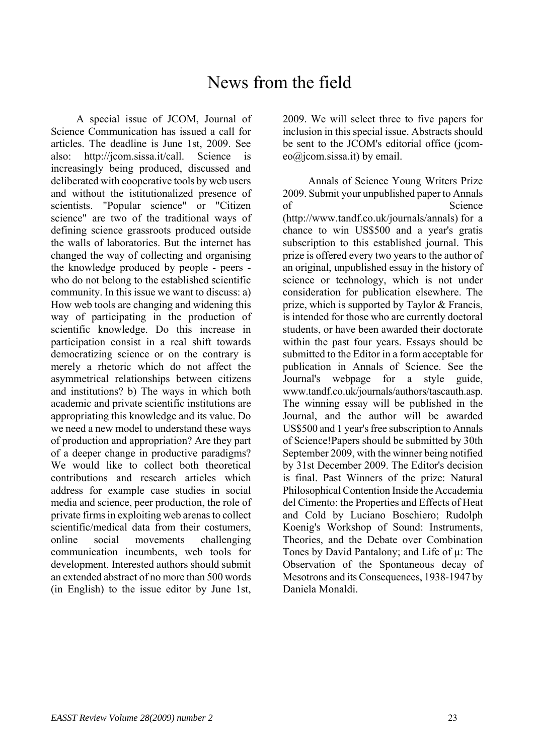## News from the field

A special issue of JCOM, Journal of Science Communication has issued a call for articles. The deadline is June 1st, 2009. See also: http://jcom.sissa.it/call. Science is increasingly being produced, discussed and deliberated with cooperative tools by web users and without the istitutionalized presence of scientists. "Popular science" or "Citizen science" are two of the traditional ways of defining science grassroots produced outside the walls of laboratories. But the internet has changed the way of collecting and organising the knowledge produced by people - peers who do not belong to the established scientific community. In this issue we want to discuss: a) How web tools are changing and widening this way of participating in the production of scientific knowledge. Do this increase in participation consist in a real shift towards democratizing science or on the contrary is merely a rhetoric which do not affect the asymmetrical relationships between citizens and institutions? b) The ways in which both academic and private scientific institutions are appropriating this knowledge and its value. Do we need a new model to understand these ways of production and appropriation? Are they part of a deeper change in productive paradigms? We would like to collect both theoretical contributions and research articles which address for example case studies in social media and science, peer production, the role of private firms in exploiting web arenas to collect scientific/medical data from their costumers, online social movements challenging communication incumbents, web tools for development. Interested authors should submit an extended abstract of no more than 500 words (in English) to the issue editor by June 1st,

2009. We will select three to five papers for inclusion in this special issue. Abstracts should be sent to the JCOM's editorial office (icomeo@jcom.sissa.it) by email.

Annals of Science Young Writers Prize 2009. Submit your unpublished paper to Annals of Science (http://www.tandf.co.uk/journals/annals) for a chance to win US\$500 and a year's gratis subscription to this established journal. This prize is offered every two years to the author of an original, unpublished essay in the history of science or technology, which is not under consideration for publication elsewhere. The prize, which is supported by Taylor & Francis, is intended for those who are currently doctoral students, or have been awarded their doctorate within the past four years. Essays should be submitted to the Editor in a form acceptable for publication in Annals of Science. See the Journal's webpage for a style guide, www.tandf.co.uk/journals/authors/tascauth.asp. The winning essay will be published in the Journal, and the author will be awarded US\$500 and 1 year's free subscription to Annals of Science!Papers should be submitted by 30th September 2009, with the winner being notified by 31st December 2009. The Editor's decision is final. Past Winners of the prize: Natural Philosophical Contention Inside the Accademia del Cimento: the Properties and Effects of Heat and Cold by Luciano Boschiero; Rudolph Koenig's Workshop of Sound: Instruments, Theories, and the Debate over Combination Tones by David Pantalony; and Life of µ: The Observation of the Spontaneous decay of Mesotrons and its Consequences, 1938-1947 by Daniela Monaldi.